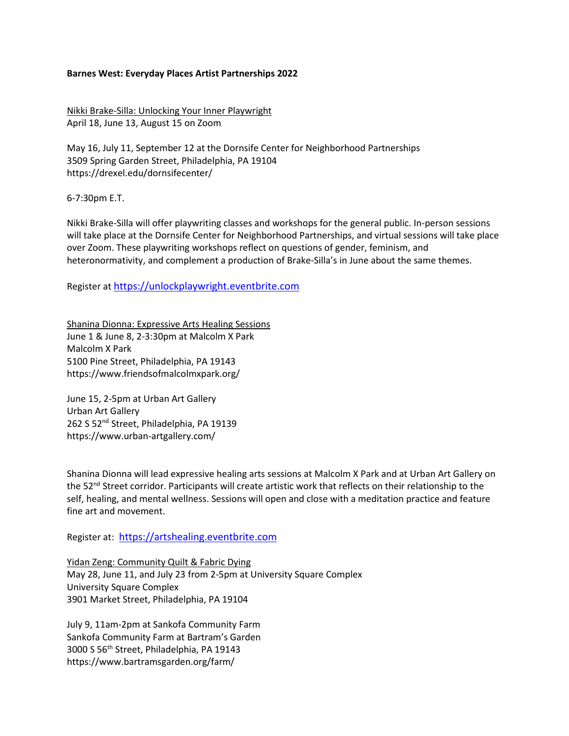## **Barnes West: Everyday Places Artist Partnerships 2022**

Nikki Brake-Silla: Unlocking Your Inner Playwright April 18, June 13, August 15 on Zoom

May 16, July 11, September 12 at the Dornsife Center for Neighborhood Partnerships 3509 Spring Garden Street, Philadelphia, PA 19104 https://drexel.edu/dornsifecenter/

6-7:30pm E.T.

Nikki Brake-Silla will offer playwriting classes and workshops for the general public. In-person sessions will take place at the Dornsife Center for Neighborhood Partnerships, and virtual sessions will take place over Zoom. These playwriting workshops reflect on questions of gender, feminism, and heteronormativity, and complement a production of Brake-Silla's in June about the same themes.

Register at [https://unlockplaywright.eventbrite.com](https://unlockplaywright.eventbrite.com/)

Shanina Dionna: Expressive Arts Healing Sessions June 1 & June 8, 2-3:30pm at Malcolm X Park Malcolm X Park 5100 Pine Street, Philadelphia, PA 19143 https://www.friendsofmalcolmxpark.org/

June 15, 2-5pm at Urban Art Gallery Urban Art Gallery 262 S 52<sup>nd</sup> Street, Philadelphia, PA 19139 https://www.urban-artgallery.com/

Shanina Dionna will lead expressive healing arts sessions at Malcolm X Park and at Urban Art Gallery on the 52<sup>nd</sup> Street corridor. Participants will create artistic work that reflects on their relationship to the self, healing, and mental wellness. Sessions will open and close with a meditation practice and feature fine art and movement.

Register at: [https://artshealing.eventbrite.com](https://artshealing.eventbrite.com/)

Yidan Zeng: Community Quilt & Fabric Dying May 28, June 11, and July 23 from 2-5pm at University Square Complex University Square Complex 3901 Market Street, Philadelphia, PA 19104

July 9, 11am-2pm at Sankofa Community Farm Sankofa Community Farm at Bartram's Garden 3000 S 56th Street, Philadelphia, PA 19143 https://www.bartramsgarden.org/farm/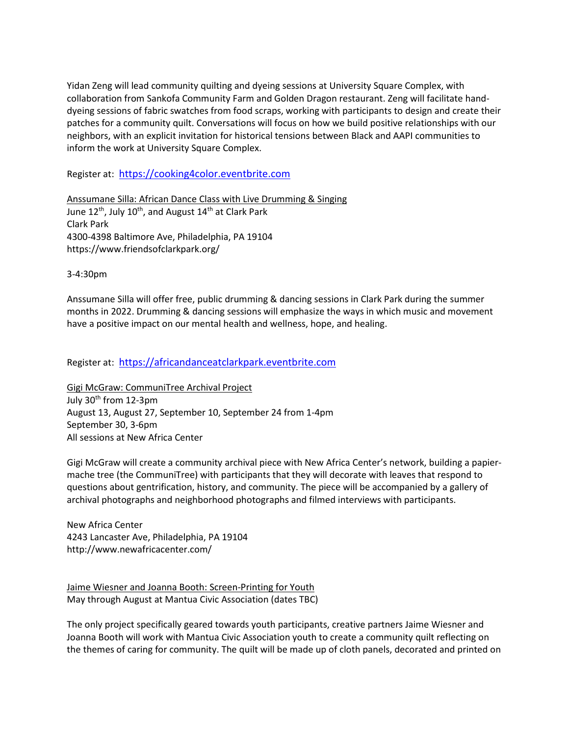Yidan Zeng will lead community quilting and dyeing sessions at University Square Complex, with collaboration from Sankofa Community Farm and Golden Dragon restaurant. Zeng will facilitate handdyeing sessions of fabric swatches from food scraps, working with participants to design and create their patches for a community quilt. Conversations will focus on how we build positive relationships with our neighbors, with an explicit invitation for historical tensions between Black and AAPI communities to inform the work at University Square Complex.

Register at: [https://cooking4color.eventbrite.com](https://cooking4color.eventbrite.com/)

Anssumane Silla: African Dance Class with Live Drumming & Singing June  $12^{th}$ , July  $10^{th}$ , and August  $14^{th}$  at Clark Park Clark Park 4300-4398 Baltimore Ave, Philadelphia, PA 19104 https://www.friendsofclarkpark.org/

3-4:30pm

Anssumane Silla will offer free, public drumming & dancing sessions in Clark Park during the summer months in 2022. Drumming & dancing sessions will emphasize the ways in which music and movement have a positive impact on our mental health and wellness, hope, and healing.

Register at: [https://africandanceatclarkpark.eventbrite.com](https://africandanceatclarkpark.eventbrite.com/)

Gigi McGraw: CommuniTree Archival Project July 30th from 12-3pm August 13, August 27, September 10, September 24 from 1-4pm September 30, 3-6pm All sessions at New Africa Center

Gigi McGraw will create a community archival piece with New Africa Center's network, building a papiermache tree (the CommuniTree) with participants that they will decorate with leaves that respond to questions about gentrification, history, and community. The piece will be accompanied by a gallery of archival photographs and neighborhood photographs and filmed interviews with participants.

New Africa Center 4243 Lancaster Ave, Philadelphia, PA 19104 http://www.newafricacenter.com/

Jaime Wiesner and Joanna Booth: Screen-Printing for Youth May through August at Mantua Civic Association (dates TBC)

The only project specifically geared towards youth participants, creative partners Jaime Wiesner and Joanna Booth will work with Mantua Civic Association youth to create a community quilt reflecting on the themes of caring for community. The quilt will be made up of cloth panels, decorated and printed on